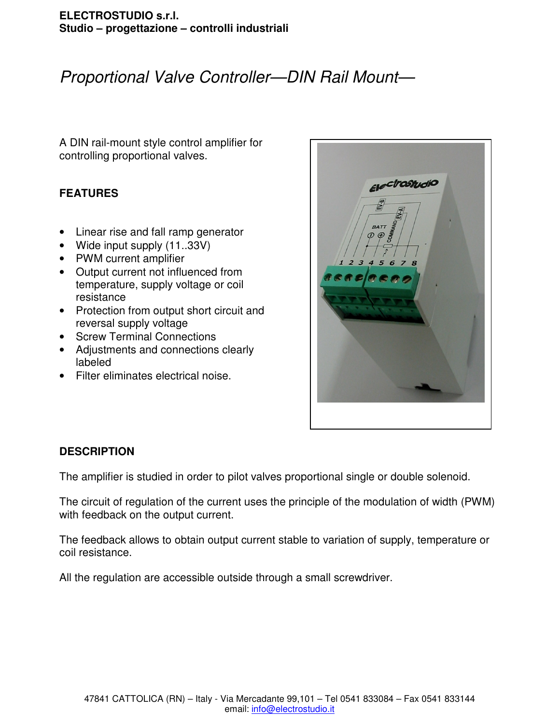# Proportional Valve Controller—DIN Rail Mount—

A DIN rail-mount style control amplifier for controlling proportional valves.

# **FEATURES**

- Linear rise and fall ramp generator
- Wide input supply (11..33V)
- PWM current amplifier
- Output current not influenced from temperature, supply voltage or coil resistance
- Protection from output short circuit and reversal supply voltage
- Screw Terminal Connections
- Adjustments and connections clearly labeled
- Filter eliminates electrical noise.



# **DESCRIPTION**

The amplifier is studied in order to pilot valves proportional single or double solenoid.

The circuit of regulation of the current uses the principle of the modulation of width (PWM) with feedback on the output current.

The feedback allows to obtain output current stable to variation of supply, temperature or coil resistance.

All the regulation are accessible outside through a small screwdriver.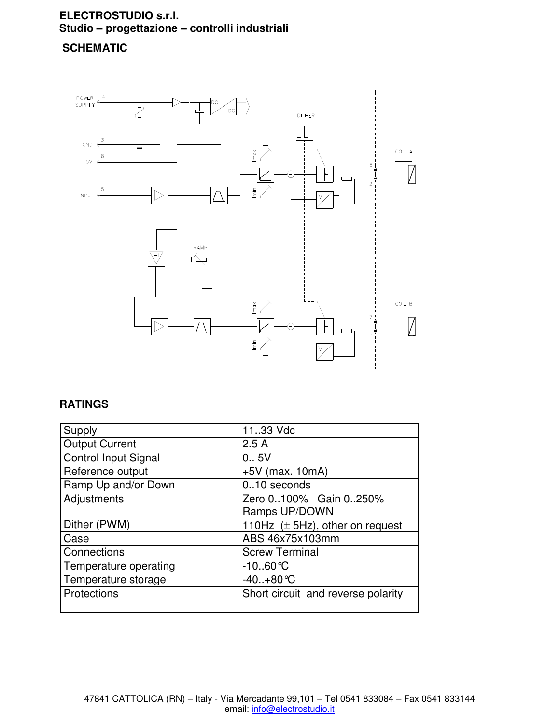# **SCHEMATIC**



# **RATINGS**

| Supply                      | 1133 Vdc                             |
|-----------------------------|--------------------------------------|
| <b>Output Current</b>       | 2.5A                                 |
| <b>Control Input Signal</b> | 0.05V                                |
| Reference output            | $+5V$ (max. 10mA)                    |
| Ramp Up and/or Down         | 010 seconds                          |
| Adjustments                 | Zero 0100% Gain 0250%                |
|                             | Ramps UP/DOWN                        |
| Dither (PWM)                | 110Hz $(\pm 5$ Hz), other on request |
| Case                        | ABS 46x75x103mm                      |
| Connections                 | <b>Screw Terminal</b>                |
| Temperature operating       | $-10.60$ °C                          |
| Temperature storage         | $-40+80 °C$                          |
| Protections                 | Short circuit and reverse polarity   |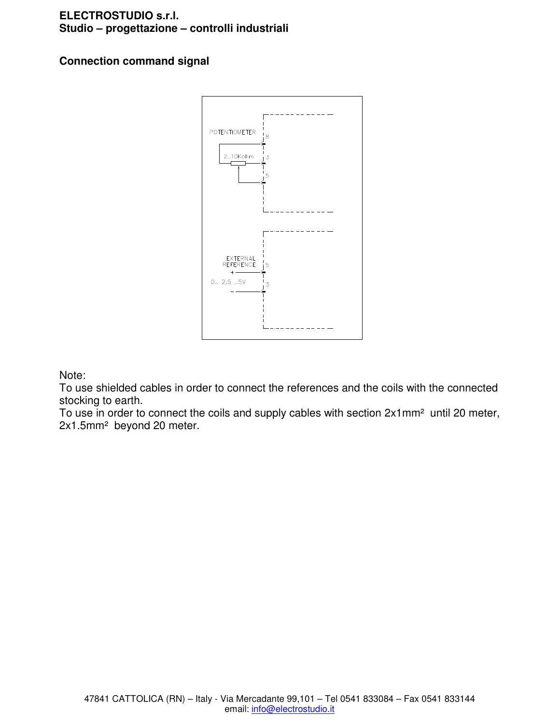# **Connection command signal**



Note:

To use shielded cables in order to connect the references and the coils with the connected stocking to earth.

To use in order to connect the coils and supply cables with section 2x1mm<sup>2</sup> until 20 meter, 2x1.5mm² beyond 20 meter.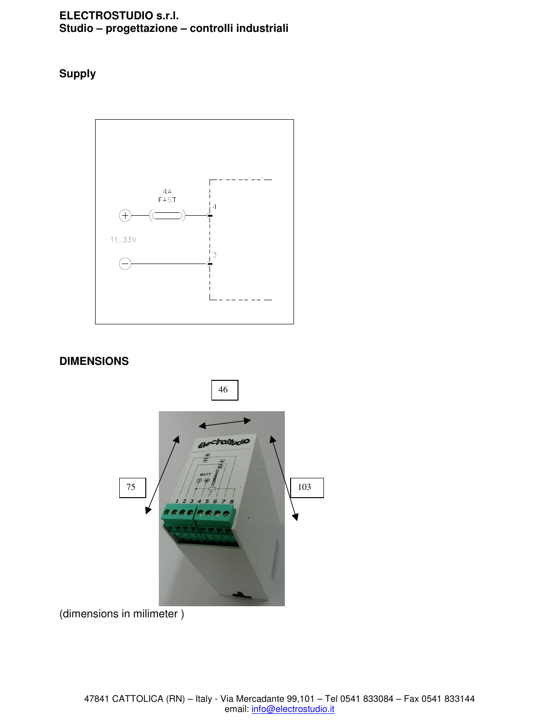**Supply**



### **DIMENSIONS**



(dimensions in milimeter )